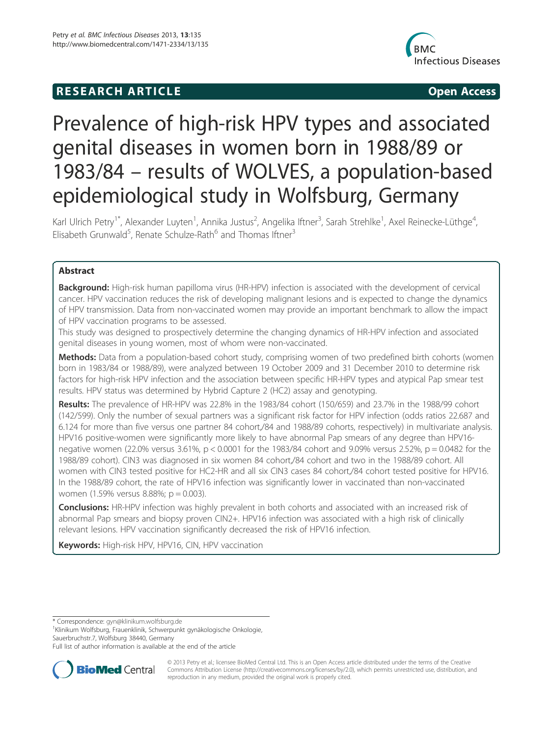## R E S EAR CH A R TIC L E Open Access



# Prevalence of high-risk HPV types and associated genital diseases in women born in 1988/89 or 1983/84 – results of WOLVES, a population-based epidemiological study in Wolfsburg, Germany

Karl Ulrich Petry<sup>1\*</sup>, Alexander Luyten<sup>1</sup>, Annika Justus<sup>2</sup>, Angelika Iftner<sup>3</sup>, Sarah Strehlke<sup>1</sup>, Axel Reinecke-Lüthge<sup>4</sup> , Elisabeth Grunwald<sup>5</sup>, Renate Schulze-Rath<sup>6</sup> and Thomas Iftner<sup>3</sup>

## Abstract

Background: High-risk human papilloma virus (HR-HPV) infection is associated with the development of cervical cancer. HPV vaccination reduces the risk of developing malignant lesions and is expected to change the dynamics of HPV transmission. Data from non-vaccinated women may provide an important benchmark to allow the impact of HPV vaccination programs to be assessed.

This study was designed to prospectively determine the changing dynamics of HR-HPV infection and associated genital diseases in young women, most of whom were non-vaccinated.

Methods: Data from a population-based cohort study, comprising women of two predefined birth cohorts (women born in 1983/84 or 1988/89), were analyzed between 19 October 2009 and 31 December 2010 to determine risk factors for high-risk HPV infection and the association between specific HR-HPV types and atypical Pap smear test results. HPV status was determined by Hybrid Capture 2 (HC2) assay and genotyping.

Results: The prevalence of HR-HPV was 22.8% in the 1983/84 cohort (150/659) and 23.7% in the 1988/99 cohort (142/599). Only the number of sexual partners was a significant risk factor for HPV infection (odds ratios 22.687 and 6.124 for more than five versus one partner 84 cohort,/84 and 1988/89 cohorts, respectively) in multivariate analysis. HPV16 positive-women were significantly more likely to have abnormal Pap smears of any degree than HPV16 negative women (22.0% versus 3.61%, p < 0.0001 for the 1983/84 cohort and 9.09% versus 2.52%, p = 0.0482 for the 1988/89 cohort). CIN3 was diagnosed in six women 84 cohort,/84 cohort and two in the 1988/89 cohort. All women with CIN3 tested positive for HC2-HR and all six CIN3 cases 84 cohort,/84 cohort tested positive for HPV16. In the 1988/89 cohort, the rate of HPV16 infection was significantly lower in vaccinated than non-vaccinated women (1.59% versus 8.88%; p = 0.003).

**Conclusions:** HR-HPV infection was highly prevalent in both cohorts and associated with an increased risk of abnormal Pap smears and biopsy proven CIN2+. HPV16 infection was associated with a high risk of clinically relevant lesions. HPV vaccination significantly decreased the risk of HPV16 infection.

Keywords: High-risk HPV, HPV16, CIN, HPV vaccination

\* Correspondence: gyn@klinikum.wolfsburg.de <sup>1</sup>

Klinikum Wolfsburg, Frauenklinik, Schwerpunkt gynäkologische Onkologie, Sauerbruchstr.7, Wolfsburg 38440, Germany

Full list of author information is available at the end of the article



© 2013 Petry et al.; licensee BioMed Central Ltd. This is an Open Access article distributed under the terms of the Creative Commons Attribution License (http://creativecommons.org/licenses/by/2.0), which permits unrestricted use, distribution, and reproduction in any medium, provided the original work is properly cited.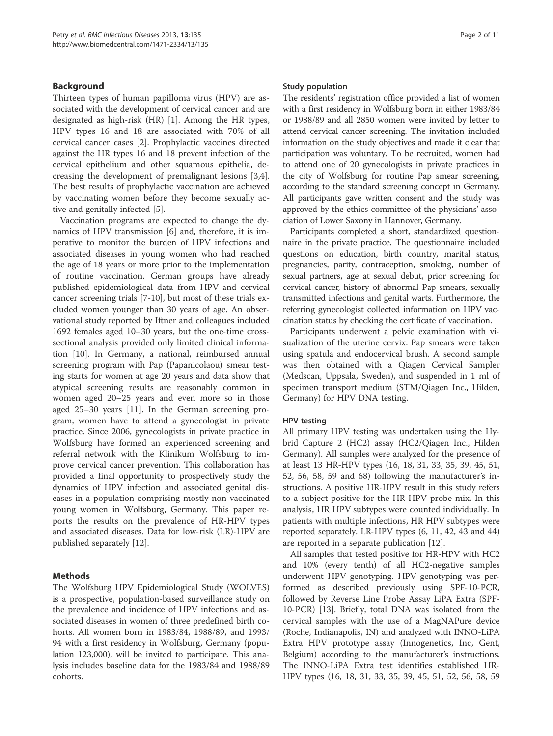## Background

Thirteen types of human papilloma virus (HPV) are associated with the development of cervical cancer and are designated as high-risk (HR) [1]. Among the HR types, HPV types 16 and 18 are associated with 70% of all cervical cancer cases [2]. Prophylactic vaccines directed against the HR types 16 and 18 prevent infection of the cervical epithelium and other squamous epithelia, decreasing the development of premalignant lesions [3,4]. The best results of prophylactic vaccination are achieved by vaccinating women before they become sexually active and genitally infected [5].

Vaccination programs are expected to change the dynamics of HPV transmission [6] and, therefore, it is imperative to monitor the burden of HPV infections and associated diseases in young women who had reached the age of 18 years or more prior to the implementation of routine vaccination. German groups have already published epidemiological data from HPV and cervical cancer screening trials [7-10], but most of these trials excluded women younger than 30 years of age. An observational study reported by Iftner and colleagues included 1692 females aged 10–30 years, but the one-time crosssectional analysis provided only limited clinical information [10]. In Germany, a national, reimbursed annual screening program with Pap (Papanicolaou) smear testing starts for women at age 20 years and data show that atypical screening results are reasonably common in women aged 20–25 years and even more so in those aged 25–30 years [11]. In the German screening program, women have to attend a gynecologist in private practice. Since 2006, gynecologists in private practice in Wolfsburg have formed an experienced screening and referral network with the Klinikum Wolfsburg to improve cervical cancer prevention. This collaboration has provided a final opportunity to prospectively study the dynamics of HPV infection and associated genital diseases in a population comprising mostly non-vaccinated young women in Wolfsburg, Germany. This paper reports the results on the prevalence of HR-HPV types and associated diseases. Data for low-risk (LR)-HPV are published separately [12].

## Methods

The Wolfsburg HPV Epidemiological Study (WOLVES) is a prospective, population-based surveillance study on the prevalence and incidence of HPV infections and associated diseases in women of three predefined birth cohorts. All women born in 1983/84, 1988/89, and 1993/ 94 with a first residency in Wolfsburg, Germany (population 123,000), will be invited to participate. This analysis includes baseline data for the 1983/84 and 1988/89 cohorts.

#### Study population

The residents' registration office provided a list of women with a first residency in Wolfsburg born in either 1983/84 or 1988/89 and all 2850 women were invited by letter to attend cervical cancer screening. The invitation included information on the study objectives and made it clear that participation was voluntary. To be recruited, women had to attend one of 20 gynecologists in private practices in the city of Wolfsburg for routine Pap smear screening, according to the standard screening concept in Germany. All participants gave written consent and the study was approved by the ethics committee of the physicians' association of Lower Saxony in Hannover, Germany.

Participants completed a short, standardized questionnaire in the private practice. The questionnaire included questions on education, birth country, marital status, pregnancies, parity, contraception, smoking, number of sexual partners, age at sexual debut, prior screening for cervical cancer, history of abnormal Pap smears, sexually transmitted infections and genital warts. Furthermore, the referring gynecologist collected information on HPV vaccination status by checking the certificate of vaccination.

Participants underwent a pelvic examination with visualization of the uterine cervix. Pap smears were taken using spatula and endocervical brush. A second sample was then obtained with a Qiagen Cervical Sampler (Medscan, Uppsala, Sweden), and suspended in 1 ml of specimen transport medium (STM/Qiagen Inc., Hilden, Germany) for HPV DNA testing.

#### HPV testing

All primary HPV testing was undertaken using the Hybrid Capture 2 (HC2) assay (HC2/Qiagen Inc., Hilden Germany). All samples were analyzed for the presence of at least 13 HR-HPV types (16, 18, 31, 33, 35, 39, 45, 51, 52, 56, 58, 59 and 68) following the manufacturer's instructions. A positive HR-HPV result in this study refers to a subject positive for the HR-HPV probe mix. In this analysis, HR HPV subtypes were counted individually. In patients with multiple infections, HR HPV subtypes were reported separately. LR-HPV types (6, 11, 42, 43 and 44) are reported in a separate publication [12].

All samples that tested positive for HR-HPV with HC2 and 10% (every tenth) of all HC2-negative samples underwent HPV genotyping. HPV genotyping was performed as described previously using SPF-10-PCR, followed by Reverse Line Probe Assay LiPA Extra (SPF-10-PCR) [13]. Briefly, total DNA was isolated from the cervical samples with the use of a MagNAPure device (Roche, Indianapolis, IN) and analyzed with INNO-LiPA Extra HPV prototype assay (Innogenetics, Inc, Gent, Belgium) according to the manufacturer's instructions. The INNO-LiPA Extra test identifies established HR-HPV types (16, 18, 31, 33, 35, 39, 45, 51, 52, 56, 58, 59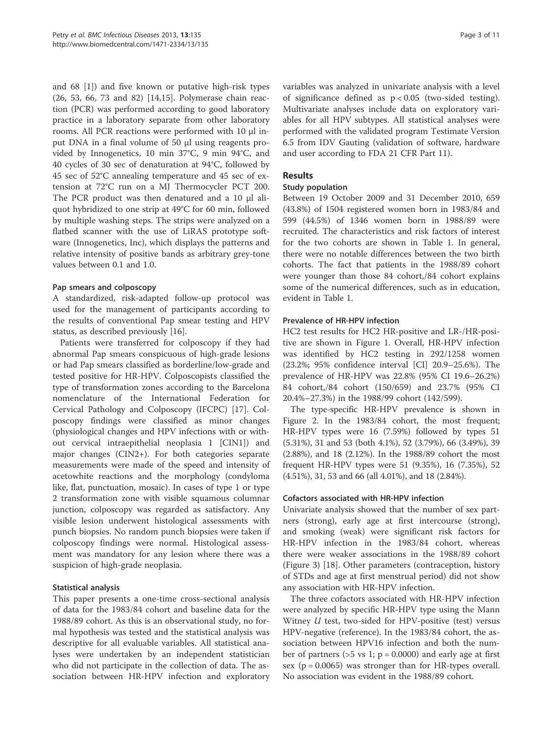and 68 [1]) and five known or putative high-risk types (26, 53, 66, 73 and 82) [14,15]. Polymerase chain reaction (PCR) was performed according to good laboratory practice in a laboratory separate from other laboratory rooms. All PCR reactions were performed with 10 μl input DNA in a final volume of 50 μl using reagents provided by Innogenetics, 10 min 37°C, 9 min 94°C, and 40 cycles of 30 sec of denaturation at 94°C, followed by 45 sec of 52°C annealing temperature and 45 sec of extension at 72°C run on a MJ Thermocycler PCT 200. The PCR product was then denatured and a 10 μl aliquot hybridized to one strip at 49°C for 60 min, followed by multiple washing steps. The strips were analyzed on a flatbed scanner with the use of LiRAS prototype software (Innogenetics, Inc), which displays the patterns and relative intensity of positive bands as arbitrary grey-tone values between 0.1 and 1.0.

## Pap smears and colposcopy

A standardized, risk-adapted follow-up protocol was used for the management of participants according to the results of conventional Pap smear testing and HPV status, as described previously [16].

Patients were transferred for colposcopy if they had abnormal Pap smears conspicuous of high-grade lesions or had Pap smears classified as borderline/low-grade and tested positive for HR-HPV. Colposcopists classified the type of transformation zones according to the Barcelona nomenclature of the International Federation for Cervical Pathology and Colposcopy (IFCPC) [17]. Colposcopy findings were classified as minor changes (physiological changes and HPV infections with or without cervical intraepithelial neoplasia 1 [CIN1]) and major changes (CIN2+). For both categories separate measurements were made of the speed and intensity of acetowhite reactions and the morphology (condyloma like, flat, punctuation, mosaic). In cases of type 1 or type 2 transformation zone with visible squamous columnar junction, colposcopy was regarded as satisfactory. Any visible lesion underwent histological assessments with punch biopsies. No random punch biopsies were taken if colposcopy findings were normal. Histological assessment was mandatory for any lesion where there was a suspicion of high-grade neoplasia.

## Statistical analysis

This paper presents a one-time cross-sectional analysis of data for the 1983/84 cohort and baseline data for the 1988/89 cohort. As this is an observational study, no formal hypothesis was tested and the statistical analysis was descriptive for all evaluable variables. All statistical analyses were undertaken by an independent statistician who did not participate in the collection of data. The association between HR-HPV infection and exploratory variables was analyzed in univariate analysis with a level of significance defined as  $p < 0.05$  (two-sided testing). Multivariate analyses include data on exploratory variables for all HPV subtypes. All statistical analyses were performed with the validated program Testimate Version 6.5 from IDV Gauting (validation of software, hardware and user according to FDA 21 CFR Part 11).

## Results

## Study population

Between 19 October 2009 and 31 December 2010, 659 (43.8%) of 1504 registered women born in 1983/84 and 599 (44.5%) of 1346 women born in 1988/89 were recruited. The characteristics and risk factors of interest for the two cohorts are shown in Table 1. In general, there were no notable differences between the two birth cohorts. The fact that patients in the 1988/89 cohort were younger than those 84 cohort,/84 cohort explains some of the numerical differences, such as in education, evident in Table 1.

## Prevalence of HR-HPV infection

HC2 test results for HC2 HR-positive and LR-/HR-positive are shown in Figure 1. Overall, HR-HPV infection was identified by HC2 testing in 292/1258 women (23.2%; 95% confidence interval [CI] 20.9–25.6%). The prevalence of HR-HPV was 22.8% (95% CI 19.6–26.2%) 84 cohort,/84 cohort (150/659) and 23.7% (95% CI 20.4%–27.3%) in the 1988/99 cohort (142/599).

The type-specific HR-HPV prevalence is shown in Figure 2. In the 1983/84 cohort, the most frequent; HR-HPV types were 16 (7.59%) followed by types 51 (5.31%), 31 and 53 (both 4.1%), 52 (3.79%), 66 (3.49%), 39 (2.88%), and 18 (2.12%). In the 1988/89 cohort the most frequent HR-HPV types were 51 (9.35%), 16 (7.35%), 52 (4.51%), 31, 53 and 66 (all 4.01%), and 18 (2.84%).

## Cofactors associated with HR-HPV infection

Univariate analysis showed that the number of sex partners (strong), early age at first intercourse (strong), and smoking (weak) were significant risk factors for HR-HPV infection in the 1983/84 cohort, whereas there were weaker associations in the 1988/89 cohort (Figure 3) [18]. Other parameters (contraception, history of STDs and age at first menstrual period) did not show any association with HR-HPV infection.

The three cofactors associated with HR-HPV infection were analyzed by specific HR-HPV type using the Mann Witney  $U$  test, two-sided for HPV-positive (test) versus HPV-negative (reference). In the 1983/84 cohort, the association between HPV16 infection and both the number of partners ( $>5$  vs 1; p = 0.0000) and early age at first sex ( $p = 0.0065$ ) was stronger than for HR-types overall. No association was evident in the 1988/89 cohort.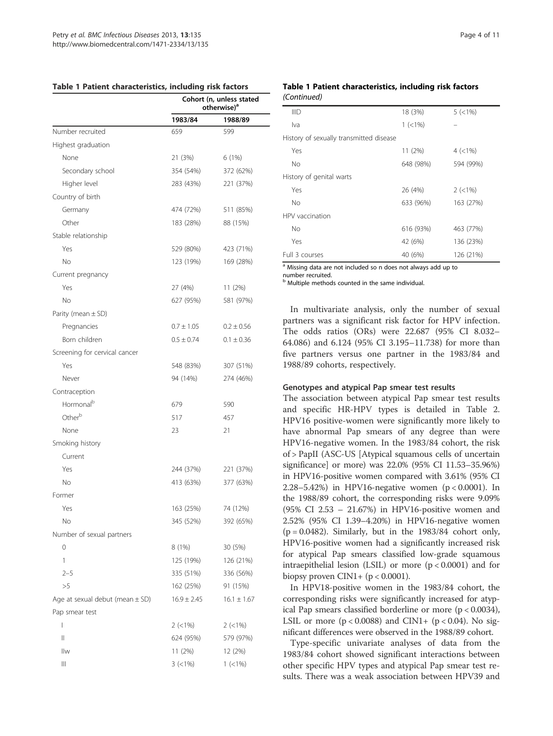| Table 1 Patient characteristics, including risk factors |  |
|---------------------------------------------------------|--|
|---------------------------------------------------------|--|

|                                     | Cohort (n, unless stated<br>otherwise) <sup>a</sup> |                 |  |
|-------------------------------------|-----------------------------------------------------|-----------------|--|
|                                     | 1983/84                                             | 1988/89         |  |
| Number recruited                    | 659                                                 | 599             |  |
| Highest graduation                  |                                                     |                 |  |
| None                                | 21 (3%)                                             | 6 (1%)          |  |
| Secondary school                    | 354 (54%)                                           | 372 (62%)       |  |
| Higher level                        | 283 (43%)                                           | 221 (37%)       |  |
| Country of birth                    |                                                     |                 |  |
| Germany                             | 474 (72%)                                           | 511 (85%)       |  |
| Other                               | 183 (28%)                                           | 88 (15%)        |  |
| Stable relationship                 |                                                     |                 |  |
| Yes                                 | 529 (80%)                                           | 423 (71%)       |  |
| No                                  | 123 (19%)                                           | 169 (28%)       |  |
| Current pregnancy                   |                                                     |                 |  |
| Yes                                 | 27 (4%)                                             | 11 (2%)         |  |
| No                                  | 627 (95%)                                           | 581 (97%)       |  |
| Parity (mean $\pm$ SD)              |                                                     |                 |  |
| Pregnancies                         | $0.7 \pm 1.05$                                      | $0.2 \pm 0.56$  |  |
| Born children                       | $0.5 \pm 0.74$                                      | $0.1 \pm 0.36$  |  |
| Screening for cervical cancer       |                                                     |                 |  |
| Yes                                 | 548 (83%)                                           | 307 (51%)       |  |
| Never                               | 94 (14%)                                            | 274 (46%)       |  |
| Contraception                       |                                                     |                 |  |
| Hormonal <sup>b</sup>               | 679                                                 | 590             |  |
| Otherb                              | 517                                                 | 457             |  |
| None                                | 23                                                  | 21              |  |
| Smoking history                     |                                                     |                 |  |
| Current                             |                                                     |                 |  |
| Yes                                 | 244 (37%)                                           | 221 (37%)       |  |
| No                                  | 413 (63%)                                           | 377 (63%)       |  |
| Former                              |                                                     |                 |  |
| Yes                                 | 163 (25%)                                           | 74 (12%)        |  |
| <b>No</b>                           | 345 (52%)                                           | 392 (65%)       |  |
| Number of sexual partners           |                                                     |                 |  |
| 0                                   | 8 (1%)                                              | 30 (5%)         |  |
| 1                                   | 125 (19%)                                           | 126 (21%)       |  |
| $2 - 5$                             | 335 (51%)                                           | 336 (56%)       |  |
| >5                                  | 162 (25%)                                           | 91 (15%)        |  |
| Age at sexual debut (mean $\pm$ SD) | $16.9 \pm 2.45$                                     | $16.1 \pm 1.67$ |  |
| Pap smear test                      |                                                     |                 |  |
| I                                   | $2$ (<1%)                                           | $2$ (<1%)       |  |
| Ш                                   | 624 (95%)                                           | 579 (97%)       |  |
| llw                                 | 11(2%)                                              | 12 (2%)         |  |
| Ш                                   | $3 (< 1\%)$                                         | $1 (< 1\%)$     |  |

## Table 1 Patient characteristics, including risk factors (Continued)

| <b>IIID</b>                                                    | 18 (3%)     | $5 (< 1\%)$ |  |  |  |  |
|----------------------------------------------------------------|-------------|-------------|--|--|--|--|
| Iva                                                            | $1 (< 1\%)$ |             |  |  |  |  |
| History of sexually transmitted disease                        |             |             |  |  |  |  |
| Yes                                                            | 11 (2%)     | $4 (< 1\%)$ |  |  |  |  |
| No                                                             | 648 (98%)   | 594 (99%)   |  |  |  |  |
| History of genital warts                                       |             |             |  |  |  |  |
| Yes                                                            | 26 (4%)     | $2 (< 1\%)$ |  |  |  |  |
| No.                                                            | 633 (96%)   | 163 (27%)   |  |  |  |  |
| HPV vaccination                                                |             |             |  |  |  |  |
| No                                                             | 616 (93%)   | 463 (77%)   |  |  |  |  |
| Yes                                                            | 42 (6%)     | 136 (23%)   |  |  |  |  |
| Full 3 courses                                                 | 40 (6%)     | 126 (21%)   |  |  |  |  |
| a Missing data are not included so n does not always add up to |             |             |  |  |  |  |

are not included so n does not always add up to

number recruited.

Multiple methods counted in the same individual.

In multivariate analysis, only the number of sexual partners was a significant risk factor for HPV infection. The odds ratios (ORs) were 22.687 (95% CI 8.032– 64.086) and 6.124 (95% CI 3.195–11.738) for more than five partners versus one partner in the 1983/84 and 1988/89 cohorts, respectively.

#### Genotypes and atypical Pap smear test results

The association between atypical Pap smear test results and specific HR-HPV types is detailed in Table 2. HPV16 positive-women were significantly more likely to have abnormal Pap smears of any degree than were HPV16-negative women. In the 1983/84 cohort, the risk of > PapII (ASC-US [Atypical squamous cells of uncertain significance] or more) was 22.0% (95% CI 11.53–35.96%) in HPV16-positive women compared with 3.61% (95% CI 2.28–5.42%) in HPV16-negative women (p < 0.0001). In the 1988/89 cohort, the corresponding risks were 9.09% (95% CI 2.53 – 21.67%) in HPV16-positive women and 2.52% (95% CI 1.39–4.20%) in HPV16-negative women  $(p = 0.0482)$ . Similarly, but in the 1983/84 cohort only, HPV16-positive women had a significantly increased risk for atypical Pap smears classified low-grade squamous intraepithelial lesion (LSIL) or more  $(p < 0.0001)$  and for biopsy proven  $CIN1+$  ( $p < 0.0001$ ).

In HPV18-positive women in the 1983/84 cohort, the corresponding risks were significantly increased for atypical Pap smears classified borderline or more  $(p < 0.0034)$ , LSIL or more ( $p < 0.0088$ ) and CIN1+ ( $p < 0.04$ ). No significant differences were observed in the 1988/89 cohort.

Type-specific univariate analyses of data from the 1983/84 cohort showed significant interactions between other specific HPV types and atypical Pap smear test results. There was a weak association between HPV39 and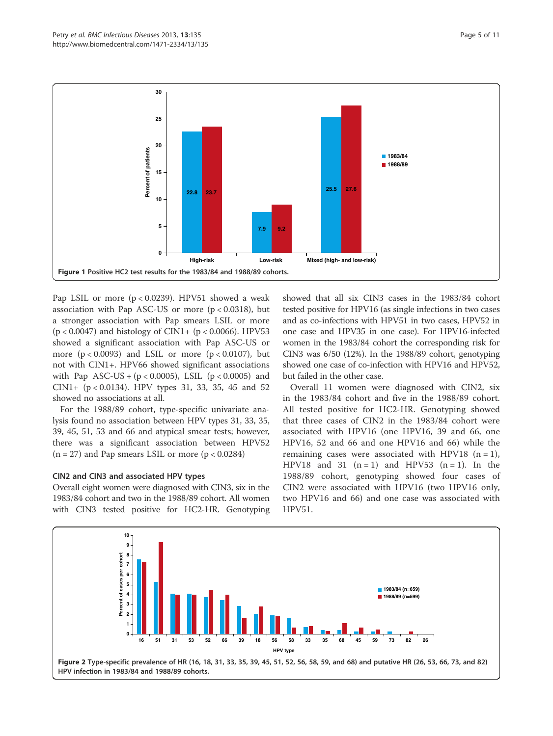

Pap LSIL or more  $(p < 0.0239)$ . HPV51 showed a weak association with Pap ASC-US or more  $(p < 0.0318)$ , but a stronger association with Pap smears LSIL or more (p < 0.0047) and histology of CIN1+ (p < 0.0066). HPV53 showed a significant association with Pap ASC-US or more  $(p < 0.0093)$  and LSIL or more  $(p < 0.0107)$ , but not with CIN1+. HPV66 showed significant associations with Pap  $ASC-US + (p < 0.0005)$ , LSIL  $(p < 0.0005)$  and CIN1+  $(p < 0.0134)$ . HPV types 31, 33, 35, 45 and 52 showed no associations at all.

For the 1988/89 cohort, type-specific univariate analysis found no association between HPV types 31, 33, 35, 39, 45, 51, 53 and 66 and atypical smear tests; however, there was a significant association between HPV52  $(n = 27)$  and Pap smears LSIL or more  $(p < 0.0284)$ 

## CIN2 and CIN3 and associated HPV types

Overall eight women were diagnosed with CIN3, six in the 1983/84 cohort and two in the 1988/89 cohort. All women with CIN3 tested positive for HC2-HR. Genotyping

showed that all six CIN3 cases in the 1983/84 cohort tested positive for HPV16 (as single infections in two cases and as co-infections with HPV51 in two cases, HPV52 in one case and HPV35 in one case). For HPV16-infected women in the 1983/84 cohort the corresponding risk for CIN3 was 6/50 (12%). In the 1988/89 cohort, genotyping showed one case of co-infection with HPV16 and HPV52, but failed in the other case.

Overall 11 women were diagnosed with CIN2, six in the 1983/84 cohort and five in the 1988/89 cohort. All tested positive for HC2-HR. Genotyping showed that three cases of CIN2 in the 1983/84 cohort were associated with HPV16 (one HPV16, 39 and 66, one HPV16, 52 and 66 and one HPV16 and 66) while the remaining cases were associated with HPV18  $(n = 1)$ , HPV18 and 31  $(n = 1)$  and HPV53  $(n = 1)$ . In the 1988/89 cohort, genotyping showed four cases of CIN2 were associated with HPV16 (two HPV16 only, two HPV16 and 66) and one case was associated with HPV51.

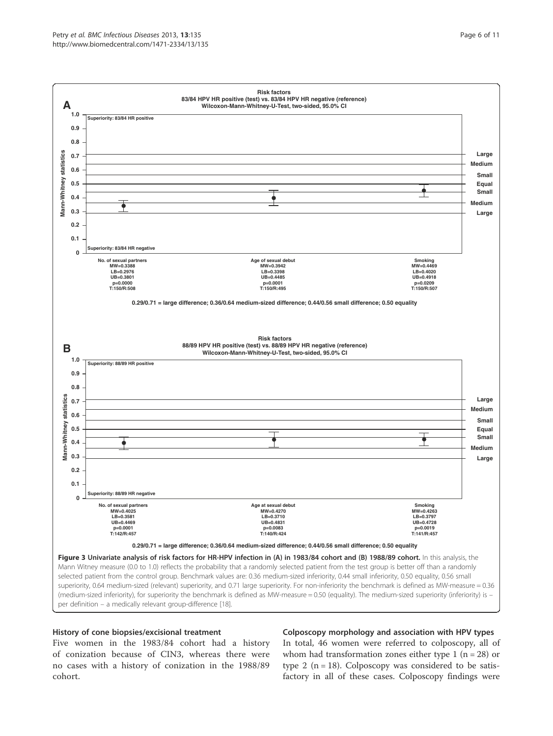

#### History of cone biopsies/excisional treatment

Five women in the 1983/84 cohort had a history of conization because of CIN3, whereas there were no cases with a history of conization in the 1988/89 cohort.

#### Colposcopy morphology and association with HPV types

In total, 46 women were referred to colposcopy, all of whom had transformation zones either type  $1$  (n = 28) or type 2 ( $n = 18$ ). Colposcopy was considered to be satisfactory in all of these cases. Colposcopy findings were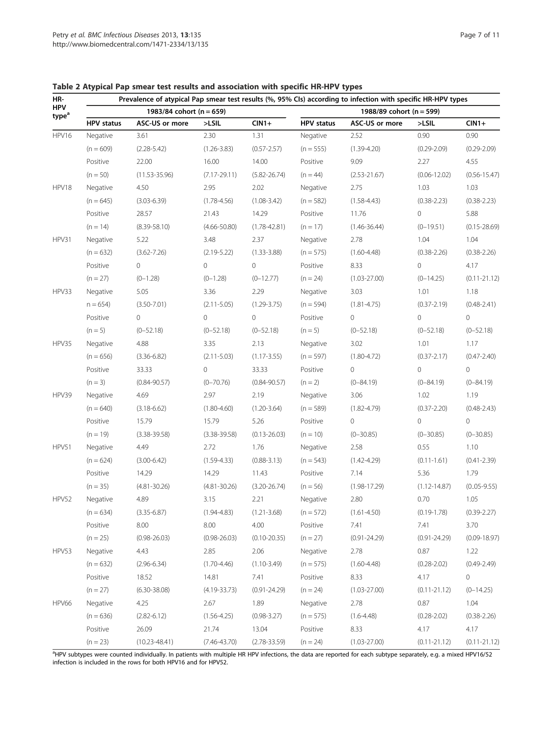| HR-                             |                   | Prevalence of atypical Pap smear test results (%, 95% CIs) according to infection with specific HR-HPV types |                  |                     |                   |                          |                  |                  |
|---------------------------------|-------------------|--------------------------------------------------------------------------------------------------------------|------------------|---------------------|-------------------|--------------------------|------------------|------------------|
| <b>HPV</b><br>type <sup>a</sup> |                   | 1983/84 cohort (n = 659)                                                                                     |                  |                     |                   | 1988/89 cohort (n = 599) |                  |                  |
|                                 | <b>HPV</b> status | ASC-US or more                                                                                               | $>$ LSIL         | $CIN1+$             | <b>HPV</b> status | ASC-US or more           | $>$ LSIL         | $CIN1+$          |
| HPV16                           | Negative          | 3.61                                                                                                         | 2.30             | 1.31                | Negative          | 2.52                     | 0.90             | 0.90             |
|                                 | $(n = 609)$       | $(2.28 - 5.42)$                                                                                              | $(1.26 - 3.83)$  | $(0.57 - 2.57)$     | $(n = 555)$       | $(1.39 - 4.20)$          | $(0.29 - 2.09)$  | $(0.29 - 2.09)$  |
|                                 | Positive          | 22.00                                                                                                        | 16.00            | 14.00               | Positive          | 9.09                     | 2.27             | 4.55             |
|                                 | $(n = 50)$        | $(11.53 - 35.96)$                                                                                            | $(7.17 - 29.11)$ | $(5.82 - 26.74)$    | $(n = 44)$        | $(2.53 - 21.67)$         | $(0.06 - 12.02)$ | $(0.56 - 15.47)$ |
| HPV18                           | Negative          | 4.50                                                                                                         | 2.95             | 2.02                | Negative          | 2.75                     | 1.03             | 1.03             |
|                                 | $(n = 645)$       | $(3.03 - 6.39)$                                                                                              | $(1.78 - 4.56)$  | $(1.08 - 3.42)$     | $(n = 582)$       | $(1.58 - 4.43)$          | $(0.38 - 2.23)$  | $(0.38 - 2.23)$  |
|                                 | Positive          | 28.57                                                                                                        | 21.43            | 14.29               | Positive          | 11.76                    | $\circ$          | 5.88             |
|                                 | $(n = 14)$        | $(8.39 - 58.10)$                                                                                             | $(4.66 - 50.80)$ | $(1.78 - 42.81)$    | $(n = 17)$        | $(1.46 - 36.44)$         | $(0-19.51)$      | $(0.15 - 28.69)$ |
| HPV31                           | Negative          | 5.22                                                                                                         | 3.48             | 2.37                | Negative          | 2.78                     | 1.04             | 1.04             |
|                                 | $(n = 632)$       | $(3.62 - 7.26)$                                                                                              | $(2.19 - 5.22)$  | $(1.33 - 3.88)$     | $(n = 575)$       | $(1.60 - 4.48)$          | $(0.38 - 2.26)$  | $(0.38 - 2.26)$  |
|                                 | Positive          | $\mathsf{O}\xspace$                                                                                          | 0                | $\circ$             | Positive          | 8.33                     | 0                | 4.17             |
|                                 | $(n = 27)$        | $(0-1.28)$                                                                                                   | $(0 - 1.28)$     | $(0-12.77)$         | $(n = 24)$        | $(1.03 - 27.00)$         | $(0-14.25)$      | $(0.11 - 21.12)$ |
| HPV33                           | Negative          | 5.05                                                                                                         | 3.36             | 2.29                | Negative          | 3.03                     | 1.01             | 1.18             |
|                                 | $n = 654$         | $(3.50 - 7.01)$                                                                                              | $(2.11 - 5.05)$  | $(1.29 - 3.75)$     | $(n = 594)$       | $(1.81 - 4.75)$          | $(0.37 - 2.19)$  | $(0.48 - 2.41)$  |
|                                 | Positive          | 0                                                                                                            | 0                | $\mathsf{O}\xspace$ | Positive          | 0                        | 0                | $\circ$          |
|                                 | $(n = 5)$         | $(0 - 52.18)$                                                                                                | $(0 - 52.18)$    | $(0 - 52.18)$       | $(n = 5)$         | $(0 - 52.18)$            | $(0 - 52.18)$    | $(0 - 52.18)$    |
| HPV35                           | Negative          | 4.88                                                                                                         | 3.35             | 2.13                | Negative          | 3.02                     | 1.01             | 1.17             |
|                                 | $(n = 656)$       | $(3.36 - 6.82)$                                                                                              | $(2.11 - 5.03)$  | $(1.17 - 3.55)$     | $(n = 597)$       | $(1.80 - 4.72)$          | $(0.37 - 2.17)$  | $(0.47 - 2.40)$  |
|                                 | Positive          | 33.33                                                                                                        | 0                | 33.33               | Positive          | 0                        | 0                | $\circ$          |
|                                 | $(n = 3)$         | $(0.84 - 90.57)$                                                                                             | $(0 - 70.76)$    | $(0.84 - 90.57)$    | $(n = 2)$         | $(0 - 84.19)$            | $(0 - 84.19)$    | $(0 - 84.19)$    |
| HPV39                           | Negative          | 4.69                                                                                                         | 2.97             | 2.19                | Negative          | 3.06                     | 1.02             | 1.19             |
|                                 | $(n = 640)$       | $(3.18 - 6.62)$                                                                                              | $(1.80 - 4.60)$  | $(1.20 - 3.64)$     | $(n = 589)$       | $(1.82 - 4.79)$          | $(0.37 - 2.20)$  | $(0.48 - 2.43)$  |
|                                 | Positive          | 15.79                                                                                                        | 15.79            | 5.26                | Positive          | 0                        | 0                | $\circ$          |
|                                 | $(n = 19)$        | $(3.38 - 39.58)$                                                                                             | $(3.38 - 39.58)$ | $(0.13 - 26.03)$    | $(n = 10)$        | $(0 - 30.85)$            | $(0 - 30.85)$    | $(0 - 30.85)$    |
| HPV51                           | Negative          | 4.49                                                                                                         | 2.72             | 1.76                | Negative          | 2.58                     | 0.55             | 1.10             |
|                                 | $(n = 624)$       | $(3.00 - 6.42)$                                                                                              | $(1.59 - 4.33)$  | $(0.88 - 3.13)$     | $(n = 543)$       | $(1.42 - 4.29)$          | $(0.11 - 1.61)$  | $(0.41 - 2.39)$  |
|                                 | Positive          | 14.29                                                                                                        | 14.29            | 11.43               | Positive          | 7.14                     | 5.36             | 1.79             |
|                                 | $(n = 35)$        | $(4.81 - 30.26)$                                                                                             | $(4.81 - 30.26)$ | $(3.20 - 26.74)$    | $(n = 56)$        | $(1.98 - 17.29)$         | $(1.12 - 14.87)$ | $(0.05 - 9.55)$  |
| HPV52                           | Negative          | 4.89                                                                                                         | 3.15             | 2.21                | Negative          | 2.80                     | 0.70             | 1.05             |
|                                 | $(n = 634)$       | $(3.35 - 6.87)$                                                                                              | $(1.94 - 4.83)$  | $(1.21 - 3.68)$     | $(n = 572)$       | $(1.61 - 4.50)$          | $(0.19 - 1.78)$  | $(0.39 - 2.27)$  |
|                                 | Positive          | 8.00                                                                                                         | 8.00             | 4.00                | Positive          | 7.41                     | 7.41             | 3.70             |
|                                 | $(n = 25)$        | $(0.98 - 26.03)$                                                                                             | $(0.98 - 26.03)$ | $(0.10 - 20.35)$    | $(n = 27)$        | $(0.91 - 24.29)$         | $(0.91 - 24.29)$ | $(0.09 - 18.97)$ |
| HPV53                           | Negative          | 4.43                                                                                                         | 2.85             | 2.06                | Negative          | 2.78                     | 0.87             | 1.22             |
|                                 | $(n = 632)$       | $(2.96 - 6.34)$                                                                                              | $(1.70 - 4.46)$  | $(1.10-3.49)$       | $(n = 575)$       | $(1.60 - 4.48)$          | $(0.28 - 2.02)$  | $(0.49 - 2.49)$  |
|                                 | Positive          | 18.52                                                                                                        | 14.81            | 7.41                | Positive          | 8.33                     | 4.17             | 0                |
|                                 | $(n = 27)$        | $(6.30 - 38.08)$                                                                                             | $(4.19 - 33.73)$ | $(0.91 - 24.29)$    | $(n = 24)$        | $(1.03 - 27.00)$         | $(0.11 - 21.12)$ | $(0-14.25)$      |
| <b>HPV66</b>                    | Negative          | 4.25                                                                                                         | 2.67             | 1.89                | Negative          | 2.78                     | 0.87             | 1.04             |
|                                 | $(n = 636)$       | $(2.82 - 6.12)$                                                                                              | $(1.56 - 4.25)$  | $(0.98 - 3.27)$     | $(n = 575)$       | $(1.6 - 4.48)$           | $(0.28 - 2.02)$  | $(0.38 - 2.26)$  |
|                                 | Positive          | 26.09                                                                                                        | 21.74            | 13.04               | Positive          | 8.33                     | 4.17             | 4.17             |
|                                 | $(n = 23)$        | $(10.23 - 48.41)$                                                                                            | $(7.46 - 43.70)$ | $(2.78 - 33.59)$    | $(n = 24)$        | $(1.03 - 27.00)$         | $(0.11 - 21.12)$ | $(0.11 - 21.12)$ |

Table 2 Atypical Pap smear test results and association with specific HR-HPV types

<sup>a</sup>HPV subtypes were counted individually. In patients with multiple HR HPV infections, the data are reported for each subtype separately, e.g. a mixed HPV16/52 infection is included in the rows for both HPV16 and for HPV52.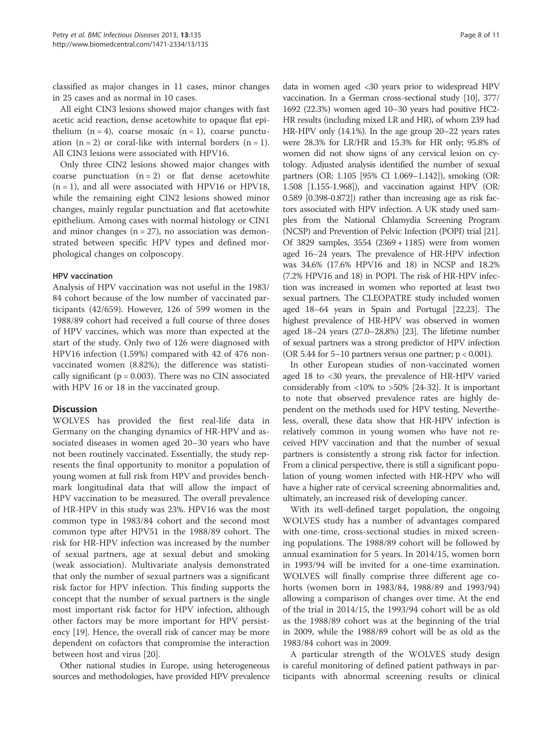classified as major changes in 11 cases, minor changes in 25 cases and as normal in 10 cases.

All eight CIN3 lesions showed major changes with fast acetic acid reaction, dense acetowhite to opaque flat epithelium  $(n = 4)$ , coarse mosaic  $(n = 1)$ , coarse punctuation  $(n = 2)$  or coral-like with internal borders  $(n = 1)$ . All CIN3 lesions were associated with HPV16.

Only three CIN2 lesions showed major changes with coarse punctuation  $(n = 2)$  or flat dense acetowhite (n = 1), and all were associated with HPV16 or HPV18, while the remaining eight CIN2 lesions showed minor changes, mainly regular punctuation and flat acetowhite epithelium. Among cases with normal histology or CIN1 and minor changes  $(n = 27)$ , no association was demonstrated between specific HPV types and defined morphological changes on colposcopy.

#### HPV vaccination

Analysis of HPV vaccination was not useful in the 1983/ 84 cohort because of the low number of vaccinated participants (42/659). However, 126 of 599 women in the 1988/89 cohort had received a full course of three doses of HPV vaccines, which was more than expected at the start of the study. Only two of 126 were diagnosed with HPV16 infection (1.59%) compared with 42 of 476 nonvaccinated women (8.82%); the difference was statistically significant ( $p = 0.003$ ). There was no CIN associated with HPV 16 or 18 in the vaccinated group.

## **Discussion**

WOLVES has provided the first real-life data in Germany on the changing dynamics of HR-HPV and associated diseases in women aged 20–30 years who have not been routinely vaccinated. Essentially, the study represents the final opportunity to monitor a population of young women at full risk from HPV and provides benchmark longitudinal data that will allow the impact of HPV vaccination to be measured. The overall prevalence of HR-HPV in this study was 23%. HPV16 was the most common type in 1983/84 cohort and the second most common type after HPV51 in the 1988/89 cohort. The risk for HR-HPV infection was increased by the number of sexual partners, age at sexual debut and smoking (weak association). Multivariate analysis demonstrated that only the number of sexual partners was a significant risk factor for HPV infection. This finding supports the concept that the number of sexual partners is the single most important risk factor for HPV infection, although other factors may be more important for HPV persistency [19]. Hence, the overall risk of cancer may be more dependent on cofactors that compromise the interaction between host and virus [20].

Other national studies in Europe, using heterogeneous sources and methodologies, have provided HPV prevalence

data in women aged <30 years prior to widespread HPV vaccination. In a German cross-sectional study [10], 377/ 1692 (22.3%) women aged 10–30 years had positive HC2- HR results (including mixed LR and HR), of whom 239 had HR-HPV only (14.1%). In the age group 20–22 years rates were 28.3% for LR/HR and 15.3% for HR only; 95.8% of women did not show signs of any cervical lesion on cytology. Adjusted analysis identified the number of sexual partners (OR: 1.105 [95% CI 1.069–1.142]), smoking (OR: 1.508 [1.155-1.968]), and vaccination against HPV (OR: 0.589 [0.398-0.872]) rather than increasing age as risk factors associated with HPV infection. A UK study used samples from the National Chlamydia Screening Program (NCSP) and Prevention of Pelvic Infection (POPI) trial [21]. Of 3829 samples, 3554 (2369 + 1185) were from women aged 16–24 years. The prevalence of HR-HPV infection was 34.6% (17.6% HPV16 and 18) in NCSP and 18.2% (7.2% HPV16 and 18) in POPI. The risk of HR-HPV infection was increased in women who reported at least two sexual partners. The CLEOPATRE study included women aged 18–64 years in Spain and Portugal [22,23]. The highest prevalence of HR-HPV was observed in women aged 18–24 years (27.0–28.8%) [23]. The lifetime number of sexual partners was a strong predictor of HPV infection (OR 5.44 for 5–10 partners versus one partner; p < 0.001).

In other European studies of non-vaccinated women aged 18 to <30 years, the prevalence of HR-HPV varied considerably from <10% to >50% [24-32]. It is important to note that observed prevalence rates are highly dependent on the methods used for HPV testing. Nevertheless, overall, these data show that HR-HPV infection is relatively common in young women who have not received HPV vaccination and that the number of sexual partners is consistently a strong risk factor for infection. From a clinical perspective, there is still a significant population of young women infected with HR-HPV who will have a higher rate of cervical screening abnormalities and, ultimately, an increased risk of developing cancer.

With its well-defined target population, the ongoing WOLVES study has a number of advantages compared with one-time, cross-sectional studies in mixed screening populations. The 1988/89 cohort will be followed by annual examination for 5 years. In 2014/15, women born in 1993/94 will be invited for a one-time examination. WOLVES will finally comprise three different age cohorts (women born in 1983/84, 1988/89 and 1993/94) allowing a comparison of changes over time. At the end of the trial in 2014/15, the 1993/94 cohort will be as old as the 1988/89 cohort was at the beginning of the trial in 2009, while the 1988/89 cohort will be as old as the 1983/84 cohort was in 2009.

A particular strength of the WOLVES study design is careful monitoring of defined patient pathways in participants with abnormal screening results or clinical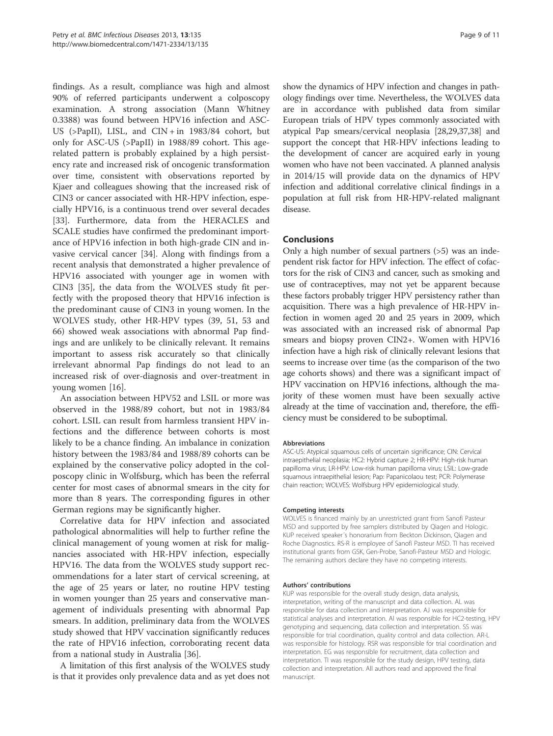findings. As a result, compliance was high and almost 90% of referred participants underwent a colposcopy examination. A strong association (Mann Whitney 0.3388) was found between HPV16 infection and ASC-US (>PapII), LISL, and CIN + in 1983/84 cohort, but only for ASC-US (>PapII) in 1988/89 cohort. This agerelated pattern is probably explained by a high persistency rate and increased risk of oncogenic transformation over time, consistent with observations reported by Kjaer and colleagues showing that the increased risk of CIN3 or cancer associated with HR-HPV infection, especially HPV16, is a continuous trend over several decades [33]. Furthermore, data from the HERACLES and SCALE studies have confirmed the predominant importance of HPV16 infection in both high-grade CIN and invasive cervical cancer [34]. Along with findings from a recent analysis that demonstrated a higher prevalence of HPV16 associated with younger age in women with CIN3 [35], the data from the WOLVES study fit perfectly with the proposed theory that HPV16 infection is the predominant cause of CIN3 in young women. In the WOLVES study, other HR-HPV types (39, 51, 53 and 66) showed weak associations with abnormal Pap findings and are unlikely to be clinically relevant. It remains important to assess risk accurately so that clinically irrelevant abnormal Pap findings do not lead to an increased risk of over-diagnosis and over-treatment in young women [16].

An association between HPV52 and LSIL or more was observed in the 1988/89 cohort, but not in 1983/84 cohort. LSIL can result from harmless transient HPV infections and the difference between cohorts is most likely to be a chance finding. An imbalance in conization history between the 1983/84 and 1988/89 cohorts can be explained by the conservative policy adopted in the colposcopy clinic in Wolfsburg, which has been the referral center for most cases of abnormal smears in the city for more than 8 years. The corresponding figures in other German regions may be significantly higher.

Correlative data for HPV infection and associated pathological abnormalities will help to further refine the clinical management of young women at risk for malignancies associated with HR-HPV infection, especially HPV16. The data from the WOLVES study support recommendations for a later start of cervical screening, at the age of 25 years or later, no routine HPV testing in women younger than 25 years and conservative management of individuals presenting with abnormal Pap smears. In addition, preliminary data from the WOLVES study showed that HPV vaccination significantly reduces the rate of HPV16 infection, corroborating recent data from a national study in Australia [36].

A limitation of this first analysis of the WOLVES study is that it provides only prevalence data and as yet does not show the dynamics of HPV infection and changes in pathology findings over time. Nevertheless, the WOLVES data are in accordance with published data from similar European trials of HPV types commonly associated with atypical Pap smears/cervical neoplasia [28,29,37,38] and support the concept that HR-HPV infections leading to the development of cancer are acquired early in young women who have not been vaccinated. A planned analysis in 2014/15 will provide data on the dynamics of HPV infection and additional correlative clinical findings in a population at full risk from HR-HPV-related malignant disease.

## Conclusions

Only a high number of sexual partners (>5) was an independent risk factor for HPV infection. The effect of cofactors for the risk of CIN3 and cancer, such as smoking and use of contraceptives, may not yet be apparent because these factors probably trigger HPV persistency rather than acquisition. There was a high prevalence of HR-HPV infection in women aged 20 and 25 years in 2009, which was associated with an increased risk of abnormal Pap smears and biopsy proven CIN2+. Women with HPV16 infection have a high risk of clinically relevant lesions that seems to increase over time (as the comparison of the two age cohorts shows) and there was a significant impact of HPV vaccination on HPV16 infections, although the majority of these women must have been sexually active already at the time of vaccination and, therefore, the efficiency must be considered to be suboptimal.

#### Abbreviations

ASC-US: Atypical squamous cells of uncertain significance; CIN: Cervical intraepithelial neoplasia; HC2: Hybrid capture 2; HR-HPV: High-risk human papilloma virus; LR-HPV: Low-risk human papilloma virus; LSIL: Low-grade squamous intraepithelial lesion; Pap: Papanicolaou test; PCR: Polymerase chain reaction; WOLVES: Wolfsburg HPV epidemiological study.

#### Competing interests

WOLVES is financed mainly by an unrestricted grant from Sanofi Pasteur MSD and supported by free samplers distributed by Qiagen and Hologic. KUP received speaker´s honorarium from Beckton Dickinson, Qiagen and Roche Diagnostics. RS-R is employee of Sanofi Pasteur MSD. TI has received institutional grants from GSK, Gen-Probe, Sanofi-Pasteur MSD and Hologic. The remaining authors declare they have no competing interests.

#### Authors' contributions

KUP was responsible for the overall study design, data analysis, interpretation, writing of the manuscript and data collection. AL was responsible for data collection and interpretation. AJ was responsible for statistical analyses and interpretation. AI was responsible for HC2-testing, HPV genotyping and sequencing, data collection and interpretation. SS was responsible for trial coordination, quality control and data collection. AR-L was responsible for histology. RSR was responsible for trial coordination and interpretation. EG was responsible for recruitment, data collection and interpretation. TI was responsible for the study design, HPV testing, data collection and interpretation. All authors read and approved the final manuscript.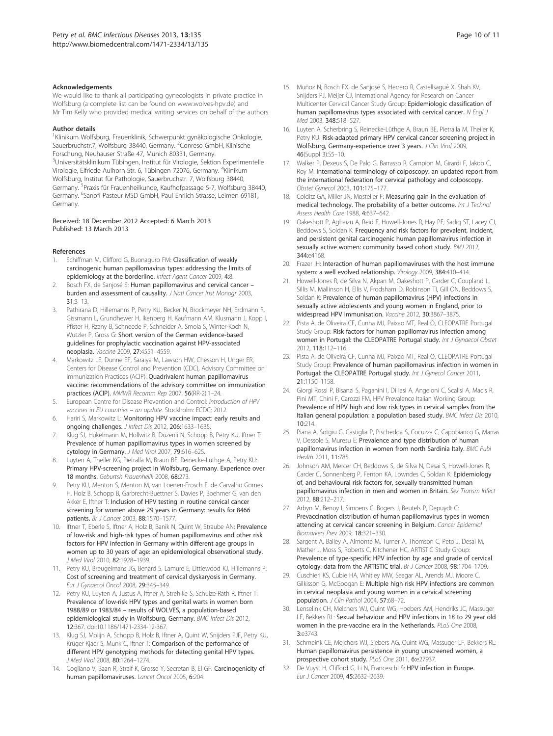#### Acknowledgements

We would like to thank all participating gynecologists in private practice in Wolfsburg (a complete list can be found on www.wolves-hpv.de) and Mr Tim Kelly who provided medical writing services on behalf of the authors.

#### Author details

1 Klinikum Wolfsburg, Frauenklinik, Schwerpunkt gynäkologische Onkologie, Sauerbruchstr.7, Wolfsburg 38440, Germany. <sup>2</sup>Conreso GmbH, Klinische Forschung, Neuhauser Straße 47, Munich 80331, Germany. 3 Universitätsklinikum Tübingen, Institut für Virologie, Sektion Experimentelle Virologie, Elfriede Aulhorn Str. 6, Tübingen 72076, Germany. <sup>4</sup>Klinikum Wolfsburg, Institut für Pathologie, Sauerbruchstr. 7, Wolfsburg 38440, Germany. <sup>5</sup>Praxis für Frauenheilkunde, Kaufhofpassage 5-7, Wolfsburg 38440, Germany. <sup>6</sup>Sanofi Pasteur MSD GmbH, Paul Ehrlich Strasse, Leimen 69181, Germany.

Received: 18 December 2012 Accepted: 6 March 2013 Published: 13 March 2013

#### References

- Schiffman M, Clifford G, Buonaguro FM: Classification of weakly carcinogenic human papillomavirus types: addressing the limits of epidemiology at the borderline. Infect Agent Cancer 2009, 4:8.
- Bosch FX, de Sanjosé S: Human papillomavirus and cervical cancer burden and assessment of causality. J Natl Cancer Inst Monogr 2003, 31:3–13.
- 3. Pathirana D, Hillemanns P, Petry KU, Becker N, Brockmeyer NH, Erdmann R, Gissmann L, Grundhewer H, Ikenberg H, Kaufmann AM, Klusmann J, Kopp I, Pfister H, Rzany B, Schneede P, Schneider A, Smola S, Winter-Koch N, Wutzler P, Gross G: Short version of the German evidence-based guidelines for prophylactic vaccination against HPV-associated neoplasia. Vaccine 2009, 27:4551–4559.
- 4. Markowitz LE, Dunne EF, Saraiya M, Lawson HW, Chesson H, Unger ER, Centers for Disease Control and Prevention (CDC), Advisory Committee on Immunization Practices (ACIP): Quadrivalent human papillomavirus vaccine: recommendations of the advisory committee on immunization practices (ACIP). MMWR Recomm Rep 2007, 56(RR-2):1–24.
- 5. European Centre for Disease Prevention and Control: Introduction of HPV vaccines in EU countries – an update. Stockholm: ECDC; 2012.
- 6. Hariri S, Markowitz L: Monitoring HPV vaccine impact: early results and ongoing challenges. J Infect Dis 2012, 206:1633–1635.
- 7. Klug SJ, Hukelmann M, Hollwitz B, Düzenli N, Schopp B, Petry KU, Iftner T: Prevalence of human papillomavirus types in women screened by cytology in Germany. J Med Virol 2007, 79:616–625.
- 8. Luyten A, Theiler KG, Pietralla M, Braun BE, Reinecke-Lüthge A, Petry KU: Primary HPV-screening project in Wolfsburg, Germany. Experience over 18 months. Geburtsh Frauenheilk 2008, 68:273.
- Petry KU, Menton S, Menton M, van Loenen-Frosch F, de Carvalho Gomes H, Holz B, Schopp B, Garbrecht-Buettner S, Davies P, Boehmer G, van den Akker E, Iftner T: Inclusion of HPV testing in routine cervical cancer screening for women above 29 years in Germany: results for 8466 patients. Br J Cancer 2003, 88:1570–1577.
- 10. Iftner T, Eberle S, Iftner A, Holz B, Banik N, Quint W, Straube AN: Prevalence of low-risk and high-risk types of human papillomavirus and other risk factors for HPV infection in Germany within different age groups in women up to 30 years of age: an epidemiological observational study. J Med Virol 2010, 82:1928–1939.
- 11. Petry KU, Breugelmans JG, Benard S, Lamure E, Littlewood KJ, Hillemanns P: Cost of screening and treatment of cervical dyskaryosis in Germany. Eur J Gynaecol Oncol 2008, 29:345–349.
- 12. Petry KU, Luyten A, Justus A, Iftner A, Strehlke S, Schulze-Rath R, Iftner T: Prevalence of low-risk HPV types and genital warts in women born 1988/89 or 1983/84 – results of WOLVES, a population-based epidemiological study in Wolfsburg, Germany. BMC Infect Dis 2012, 12:367. doi:10.1186/1471-2334-12-367.
- 13. Klug SJ, Molijn A, Schopp B, Holz B, Iftner A, Quint W, Snijders PJF, Petry KU, Krüger Kjaer S, Munk C, Iftner T: Comparison of the performance of different HPV genotyping methods for detecting genital HPV types. J Med Virol 2008, 80:1264–1274.
- 14. Cogliano V, Baan R, Straif K, Grosse Y, Secretan B, El GF: Carcinogenicity of human papillomaviruses. Lancet Oncol 2005, 6:204.
- 15. Muñoz N, Bosch FX, de Sanjosé S, Herrero R, Castellsagué X, Shah KV, Snijders PJ, Meijer CJ, International Agency for Research on Cancer Multicenter Cervical Cancer Study Group: Epidemiologic classification of human papillomavirus types associated with cervical cancer. N Engl J Med 2003, 348:518–527.
- 16. Luyten A, Scherbring S, Reinecke-Lüthge A, Braun BE, Pietralla M, Theiler K, Petry KU: Risk-adapted primary HPV cervical cancer screening project in Wolfsburg, Germany-experience over 3 years. J Clin Virol 2009, 46(Suppl 3):S5–10.
- 17. Walker P, Dexeus S, De Palo G, Barrasso R, Campion M, Girardi F, Jakob C, Roy M: International terminology of colposcopy: an updated report from the international federation for cervical pathology and colposcopy. Obstet Gynecol 2003, 101:175–177.
- 18. Colditz GA, Miller JN, Mosteller F: Measuring gain in the evaluation of medical technology. The probability of a better outcome. Int J Technol Assess Health Care 1988, 4:637–642.
- 19. Oakeshott P, Aghaizu A, Reid F, Howell-Jones R, Hay PE, Sadiq ST, Lacey CJ, Beddows S, Soldan K: Frequency and risk factors for prevalent, incident, and persistent genital carcinogenic human papillomavirus infection in sexually active women: community based cohort study. BMJ 2012, 344:e4168.
- 20. Frazer IH: Interaction of human papillomaviruses with the host immune system: a well evolved relationship. Virology 2009, 384:410–414.
- 21. Howell-Jones R, de Silva N, Akpan M, Oakeshott P, Carder C, Coupland L, Sillis M, Mallinson H, Ellis V, Frodsham D, Robinson TI, Gill ON, Beddows S, Soldan K: Prevalence of human papillomavirus (HPV) infections in sexually active adolescents and young women in England, prior to widespread HPV immunisation. Vaccine 2012, 30:3867–3875.
- 22. Pista A, de Oliveira CF, Cunha MJ, Paixao MT, Real O, CLEOPATRE Portugal Study Group: Risk factors for human papillomavirus infection among women in Portugal: the CLEOPATRE Portugal study. Int J Gynaecol Obstet 2012, 118:112–116.
- 23. Pista A, de Oliveira CF, Cunha MJ, Paixao MT, Real O, CLEOPATRE Portugal Study Group: Prevalence of human papillomavirus infection in women in Portugal: the CLEOPATRE Portugal study. Int J Gynecol Cancer 2011, 21:1150–1158.
- 24. Giorgi Rossi P, Bisanzi S, Paganini I, Di Iasi A, Angeloni C, Scalisi A, Macis R, Pini MT, Chini F, Carozzi FM, HPV Prevalence Italian Working Group: Prevalence of HPV high and low risk types in cervical samples from the Italian general population: a population based study. BMC Infect Dis 2010, 10:214.
- 25. Piana A, Sotgiu G, Castiglia P, Pischedda S, Cocuzza C, Capobianco G, Marras V, Dessole S, Muresu E: Prevalence and type distribution of human papillomavirus infection in women from north Sardinia Italy. BMC Publ Health 2011, 11:785.
- 26. Johnson AM, Mercer CH, Beddows S, de Silva N, Desai S, Howell-Jones R, Carder C, Sonnenberg P, Fenton KA, Lowndes C, Soldan K: Epidemiology of, and behavioural risk factors for, sexually transmitted human papillomavirus infection in men and women in Britain. Sex Transm Infect 2012, 88:212–217.
- 27. Arbyn M, Benoy I, Simoens C, Bogers J, Beutels P, Depuydt C: Prevaccination distribution of human papillomavirus types in women attending at cervical cancer screening in Belgium. Cancer Epidemiol Biomarkers Prev 2009, 18:321–330.
- 28. Sargent A, Bailey A, Almonte M, Turner A, Thomson C, Peto J, Desai M, Mather J, Moss S, Roberts C, Kitchener HC, ARTISTIC Study Group: Prevalence of type-specific HPV infection by age and grade of cervical cytology: data from the ARTISTIC trial. Br J Cancer 2008, 98:1704–1709.
- 29. Cuschieri KS, Cubie HA, Whitley MW, Seagar AL, Arends MJ, Moore C, Gilkisson G, McGoogan E: Multiple high risk HPV infections are common in cervical neoplasia and young women in a cervical screening population. J Clin Pathol 2004, 57:68–72.
- 30. Lenselink CH, Melchers WJ, Quint WG, Hoebers AM, Hendriks JC, Massuger LF, Bekkers RL: Sexual behaviour and HPV infections in 18 to 29 year old women in the pre-vaccine era in the Netherlands. PLoS One 2008, 3:e3743.
- 31. Schmeink CE, Melchers WJ, Siebers AG, Quint WG, Massuger LF, Bekkers RL: Human papillomavirus persistence in young unscreened women, a prospective cohort study. PLoS One 2011, 6:e27937.
- 32. De Vuyst H, Clifford G, Li N, Franceschi S: HPV infection in Europe. Eur J Cancer 2009, 45:2632–2639.